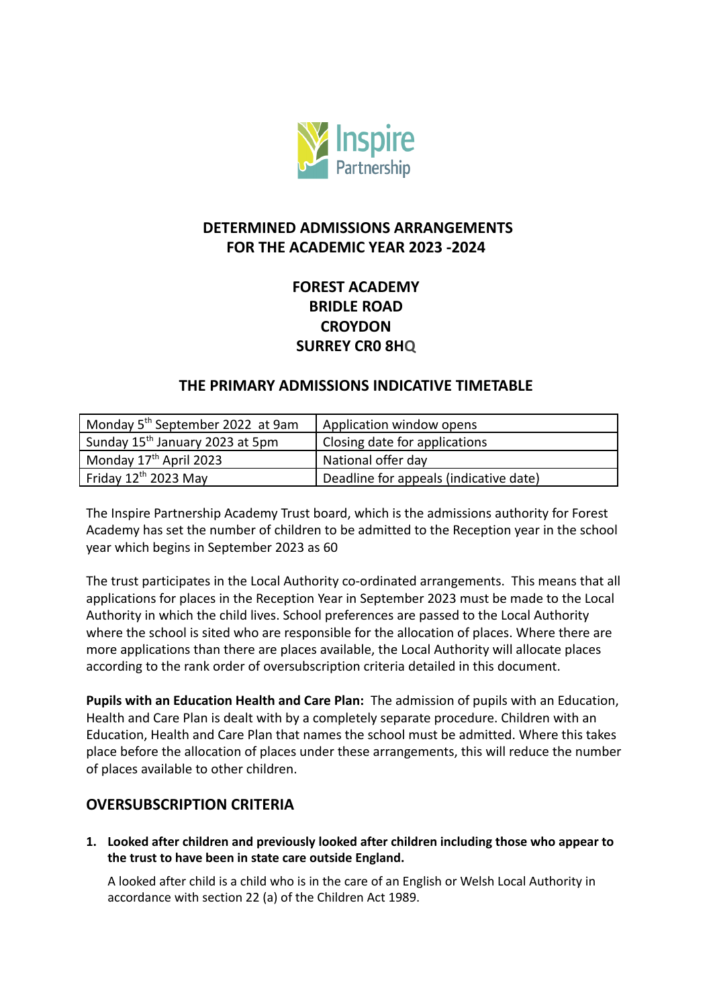

# **DETERMINED ADMISSIONS ARRANGEMENTS FOR THE ACADEMIC YEAR 2023 -2024**

# **FOREST ACADEMY BRIDLE ROAD CROYDON SURREY CR0 8HQ**

## **THE PRIMARY ADMISSIONS INDICATIVE TIMETABLE**

| Monday 5 <sup>th</sup> September 2022 at 9am | Application window opens               |
|----------------------------------------------|----------------------------------------|
| Sunday 15 <sup>th</sup> January 2023 at 5pm  | Closing date for applications          |
| Monday 17 <sup>th</sup> April 2023           | National offer day                     |
| Friday $12^{\text{th}}$ 2023 May             | Deadline for appeals (indicative date) |

The Inspire Partnership Academy Trust board, which is the admissions authority for Forest Academy has set the number of children to be admitted to the Reception year in the school year which begins in September 2023 as 60

The trust participates in the Local Authority co-ordinated arrangements. This means that all applications for places in the Reception Year in September 2023 must be made to the Local Authority in which the child lives. School preferences are passed to the Local Authority where the school is sited who are responsible for the allocation of places. Where there are more applications than there are places available, the Local Authority will allocate places according to the rank order of oversubscription criteria detailed in this document.

**Pupils with an Education Health and Care Plan:** The admission of pupils with an Education, Health and Care Plan is dealt with by a completely separate procedure. Children with an Education, Health and Care Plan that names the school must be admitted. Where this takes place before the allocation of places under these arrangements, this will reduce the number of places available to other children.

## **OVERSUBSCRIPTION CRITERIA**

**1. Looked after children and previously looked after children including those who appear to the trust to have been in state care outside England.**

A looked after child is a child who is in the care of an English or Welsh Local Authority in accordance with section 22 (a) of the Children Act 1989.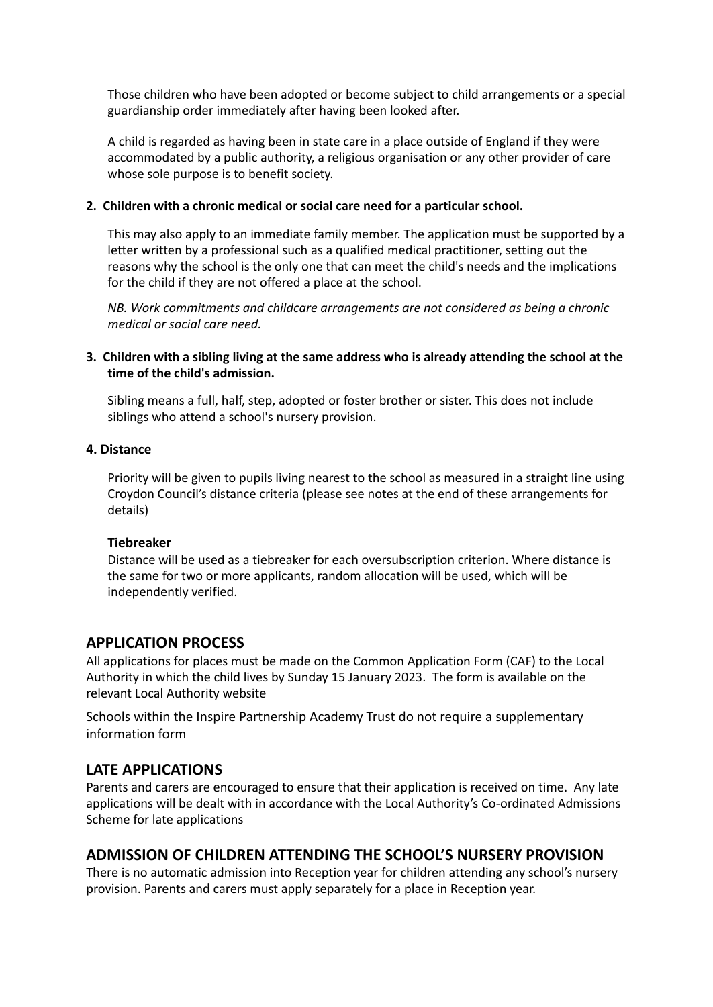Those children who have been adopted or become subject to child arrangements or a special guardianship order immediately after having been looked after.

A child is regarded as having been in state care in a place outside of England if they were accommodated by a public authority, a religious organisation or any other provider of care whose sole purpose is to benefit society.

#### **2. Children with a chronic medical or social care need for a particular school.**

This may also apply to an immediate family member. The application must be supported by a letter written by a professional such as a qualified medical practitioner, setting out the reasons why the school is the only one that can meet the child's needs and the implications for the child if they are not offered a place at the school.

*NB. Work commitments and childcare arrangements are not considered as being a chronic medical or social care need.*

#### **3. Children with a sibling living at the same address who is already attending the school at the time of the child's admission.**

Sibling means a full, half, step, adopted or foster brother or sister. This does not include siblings who attend a school's nursery provision.

#### **4. Distance**

Priority will be given to pupils living nearest to the school as measured in a straight line using Croydon Council's distance criteria (please see notes at the end of these arrangements for details)

#### **Tiebreaker**

Distance will be used as a tiebreaker for each oversubscription criterion. Where distance is the same for two or more applicants, random allocation will be used, which will be independently verified.

#### **APPLICATION PROCESS**

All applications for places must be made on the Common Application Form (CAF) to the Local Authority in which the child lives by Sunday 15 January 2023. The form is available on the relevant Local Authority website

Schools within the Inspire Partnership Academy Trust do not require a supplementary information form

#### **LATE APPLICATIONS**

Parents and carers are encouraged to ensure that their application is received on time. Any late applications will be dealt with in accordance with the Local Authority's Co-ordinated Admissions Scheme for late applications

## **ADMISSION OF CHILDREN ATTENDING THE SCHOOL'S NURSERY PROVISION**

There is no automatic admission into Reception year for children attending any school's nursery provision. Parents and carers must apply separately for a place in Reception year.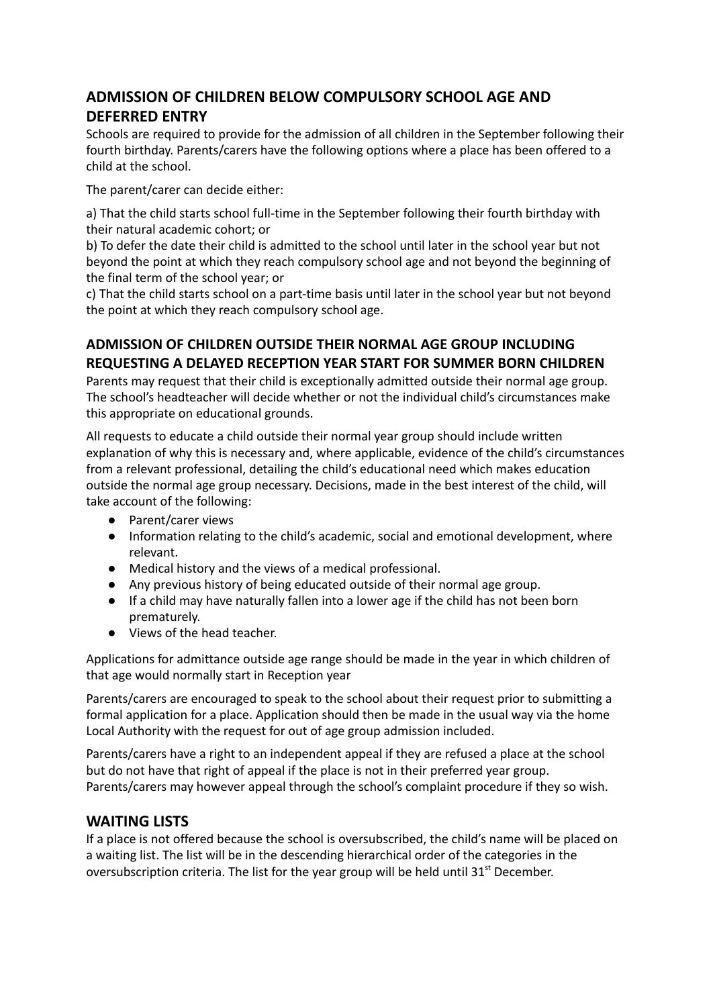# **ADMISSION OF CHILDREN BELOW COMPULSORY SCHOOL AGE AND DEFERRED ENTRY**

Schools are required to provide for the admission of all children in the September following their fourth birthday. Parents/carers have the following options where a place has been offered to a child at the school.

The parent/carer can decide either:

a) That the child starts school full-time in the September following their fourth birthday with their natural academic cohort; or

b) To defer the date their child is admitted to the school until later in the school year but not beyond the point at which they reach compulsory school age and not beyond the beginning of the final term of the school year; or

c) That the child starts school on a part-time basis until later in the school year but not beyond the point at which they reach compulsory school age.

## **ADMISSION OF CHILDREN OUTSIDE THEIR NORMAL AGE GROUP INCLUDING REQUESTING A DELAYED RECEPTION YEAR START FOR SUMMER BORN CHILDREN**

Parents may request that their child is exceptionally admitted outside their normal age group. The school's headteacher will decide whether or not the individual child's circumstances make this appropriate on educational grounds.

All requests to educate a child outside their normal year group should include written explanation of why this is necessary and, where applicable, evidence of the child's circumstances from a relevant professional, detailing the child's educational need which makes education outside the normal age group necessary. Decisions, made in the best interest of the child, will take account of the following:

- Parent/carer views
- Information relating to the child's academic, social and emotional development, where relevant.
- Medical history and the views of a medical professional.
- Any previous history of being educated outside of their normal age group.
- If a child may have naturally fallen into a lower age if the child has not been born prematurely.
- Views of the head teacher.

Applications for admittance outside age range should be made in the year in which children of that age would normally start in Reception year

Parents/carers are encouraged to speak to the school about their request prior to submitting a formal application for a place. Application should then be made in the usual way via the home Local Authority with the request for out of age group admission included.

Parents/carers have a right to an independent appeal if they are refused a place at the school but do not have that right of appeal if the place is not in their preferred year group. Parents/carers may however appeal through the school's complaint procedure if they so wish.

## **WAITING LISTS**

If a place is not offered because the school is oversubscribed, the child's name will be placed on a waiting list. The list will be in the descending hierarchical order of the categories in the oversubscription criteria. The list for the year group will be held until 31<sup>st</sup> December.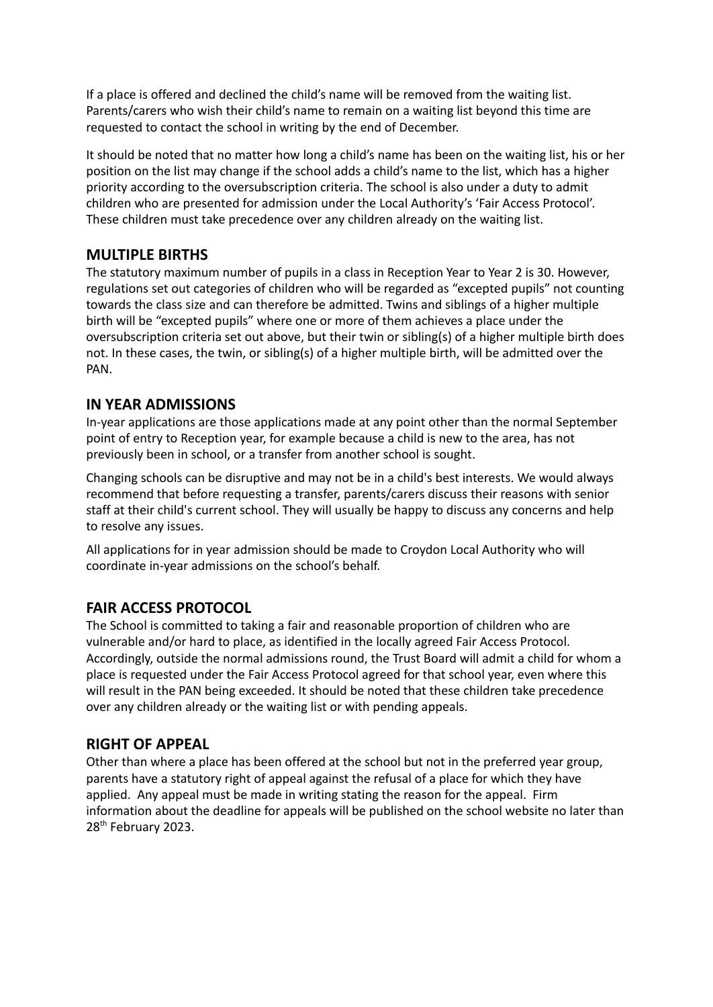If a place is offered and declined the child's name will be removed from the waiting list. Parents/carers who wish their child's name to remain on a waiting list beyond this time are requested to contact the school in writing by the end of December.

It should be noted that no matter how long a child's name has been on the waiting list, his or her position on the list may change if the school adds a child's name to the list, which has a higher priority according to the oversubscription criteria. The school is also under a duty to admit children who are presented for admission under the Local Authority's 'Fair Access Protocol'. These children must take precedence over any children already on the waiting list.

## **MULTIPLE BIRTHS**

The statutory maximum number of pupils in a class in Reception Year to Year 2 is 30. However, regulations set out categories of children who will be regarded as "excepted pupils" not counting towards the class size and can therefore be admitted. Twins and siblings of a higher multiple birth will be "excepted pupils" where one or more of them achieves a place under the oversubscription criteria set out above, but their twin or sibling(s) of a higher multiple birth does not. In these cases, the twin, or sibling(s) of a higher multiple birth, will be admitted over the PAN.

## **IN YEAR ADMISSIONS**

In-year applications are those applications made at any point other than the normal September point of entry to Reception year, for example because a child is new to the area, has not previously been in school, or a transfer from another school is sought.

Changing schools can be disruptive and may not be in a child's best interests. We would always recommend that before requesting a transfer, parents/carers discuss their reasons with senior staff at their child's current school. They will usually be happy to discuss any concerns and help to resolve any issues.

All applications for in year admission should be made to Croydon Local Authority who will coordinate in-year admissions on the school's behalf.

# **FAIR ACCESS PROTOCOL**

The School is committed to taking a fair and reasonable proportion of children who are vulnerable and/or hard to place, as identified in the locally agreed Fair Access Protocol. Accordingly, outside the normal admissions round, the Trust Board will admit a child for whom a place is requested under the Fair Access Protocol agreed for that school year, even where this will result in the PAN being exceeded. It should be noted that these children take precedence over any children already or the waiting list or with pending appeals.

## **RIGHT OF APPEAL**

Other than where a place has been offered at the school but not in the preferred year group, parents have a statutory right of appeal against the refusal of a place for which they have applied. Any appeal must be made in writing stating the reason for the appeal. Firm information about the deadline for appeals will be published on the school website no later than 28<sup>th</sup> February 2023.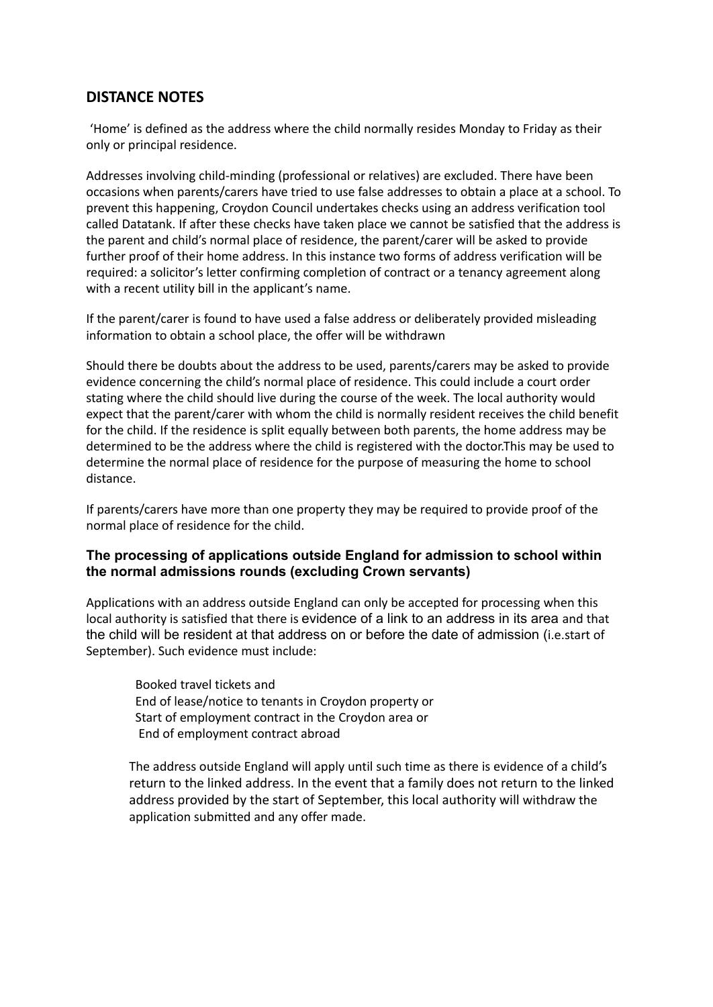#### **DISTANCE NOTES**

'Home' is defined as the address where the child normally resides Monday to Friday as their only or principal residence.

Addresses involving child-minding (professional or relatives) are excluded. There have been occasions when parents/carers have tried to use false addresses to obtain a place at a school. To prevent this happening, Croydon Council undertakes checks using an address verification tool called Datatank. If after these checks have taken place we cannot be satisfied that the address is the parent and child's normal place of residence, the parent/carer will be asked to provide further proof of their home address. In this instance two forms of address verification will be required: a solicitor's letter confirming completion of contract or a tenancy agreement along with a recent utility bill in the applicant's name.

If the parent/carer is found to have used a false address or deliberately provided misleading information to obtain a school place, the offer will be withdrawn

Should there be doubts about the address to be used, parents/carers may be asked to provide evidence concerning the child's normal place of residence. This could include a court order stating where the child should live during the course of the week. The local authority would expect that the parent/carer with whom the child is normally resident receives the child benefit for the child. If the residence is split equally between both parents, the home address may be determined to be the address where the child is registered with the doctor.This may be used to determine the normal place of residence for the purpose of measuring the home to school distance.

If parents/carers have more than one property they may be required to provide proof of the normal place of residence for the child.

#### **The processing of applications outside England for admission to school within the normal admissions rounds (excluding Crown servants)**

Applications with an address outside England can only be accepted for processing when this local authority is satisfied that there is evidence of a link to an address in its area and that the child will be resident at that address on or before the date of admission (i.e.start of September). Such evidence must include:

Booked travel tickets and End of lease/notice to tenants in Croydon property or Start of employment contract in the Croydon area or End of employment contract abroad

The address outside England will apply until such time as there is evidence of a child's return to the linked address. In the event that a family does not return to the linked address provided by the start of September, this local authority will withdraw the application submitted and any offer made.